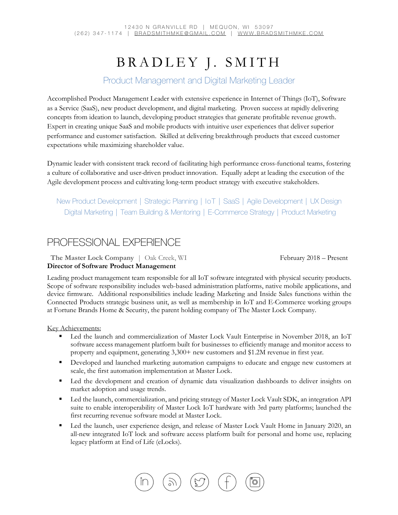# BRADLEY J. SMITH

### Product Management and Digital Marketing Leader

Accomplished Product Management Leader with extensive experience in Internet of Things (IoT), Software as a Service (SaaS), new product development, and digital marketing. Proven success at rapidly delivering concepts from ideation to launch, developing product strategies that generate profitable revenue growth. Expert in creating unique SaaS and mobile products with intuitive user experiences that deliver superior performance and customer satisfaction. Skilled at delivering breakthrough products that exceed customer expectations while maximizing shareholder value.

Dynamic leader with consistent track record of facilitating high performance cross-functional teams, fostering a culture of collaborative and user-driven product innovation. Equally adept at leading the execution of the Agile development process and cultivating long-term product strategy with executive stakeholders.

## New Product Development | Strategic Planning | IoT | SaaS | Agile Development | UX Design Digital Marketing | Team Building & Mentoring | E-Commerce Strategy | Product Marketing

# PROFESSIONAL EXPERIENCE

**The Master Lock Company** | Oak Creek, WI February 2018 – Present **Director of Software Product Management**

#### Leading product management team responsible for all IoT software integrated with physical security products. Scope of software responsibility includes web-based administration platforms, native mobile applications, and device firmware. Additional responsibilities include leading Marketing and Inside Sales functions within the Connected Products strategic business unit, as well as membership in IoT and E-Commerce working groups at Fortune Brands Home & Security, the parent holding company of The Master Lock Company.

Key Achievements:

- Led the launch and commercialization of Master Lock Vault Enterprise in November 2018, an IoT software access management platform built for businesses to efficiently manage and monitor access to property and equipment, generating 3,300+ new customers and \$1.2M revenue in first year.
- Developed and launched marketing automation campaigns to educate and engage new customers at scale, the first automation implementation at Master Lock.
- Led the development and creation of dynamic data visualization dashboards to deliver insights on market adoption and usage trends.
- Led the launch, commercialization, and pricing strategy of Master Lock Vault SDK, an integration API suite to enable interoperability of Master Lock IoT hardware with 3rd party platforms; launched the first recurring revenue software model at Master Lock.
- Led the launch, user experience design, and release of Master Lock Vault Home in January 2020, an all-new integrated IoT lock and software access platform built for personal and home use, replacing legacy platform at End of Life (eLocks).

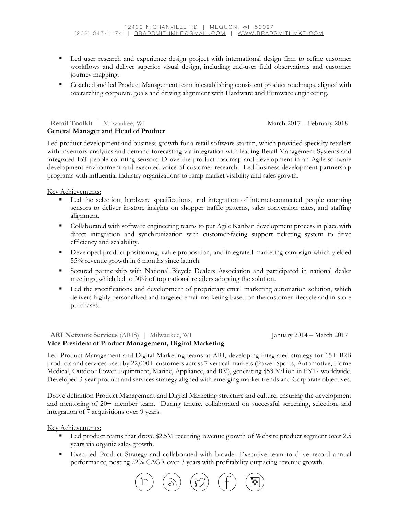- Led user research and experience design project with international design firm to refine customer workflows and deliver superior visual design, including end-user field observations and customer journey mapping.
- Coached and led Product Management team in establishing consistent product roadmaps, aligned with overarching corporate goals and driving alignment with Hardware and Firmware engineering.

#### **Retail Toolkit** | Milwaukee, WI March 2017 – February 2018 **General Manager and Head of Product**

Led product development and business growth for a retail software startup, which provided specialty retailers with inventory analytics and demand forecasting via integration with leading Retail Management Systems and integrated IoT people counting sensors. Drove the product roadmap and development in an Agile software development environment and executed voice of customer research. Led business development partnership programs with influential industry organizations to ramp market visibility and sales growth.

Key Achievements:

- Led the selection, hardware specifications, and integration of internet-connected people counting sensors to deliver in-store insights on shopper traffic patterns, sales conversion rates, and staffing alignment.
- Collaborated with software engineering teams to put Agile Kanban development process in place with direct integration and synchronization with customer-facing support ticketing system to drive efficiency and scalability.
- Developed product positioning, value proposition, and integrated marketing campaign which yielded 55% revenue growth in 6 months since launch.
- Secured partnership with National Bicycle Dealers Association and participated in national dealer meetings, which led to 30% of top national retailers adopting the solution.
- Led the specifications and development of proprietary email marketing automation solution, which delivers highly personalized and targeted email marketing based on the customer lifecycle and in-store purchases.

**ARI Network Services** (ARIS) | Milwaukee, WI January 2014 – March 2017 **Vice President of Product Management, Digital Marketing**

Led Product Management and Digital Marketing teams at ARI, developing integrated strategy for 15+ B2B products and services used by 22,000+ customers across 7 vertical markets (Power Sports, Automotive, Home Medical, Outdoor Power Equipment, Marine, Appliance, and RV), generating \$53 Million in FY17 worldwide. Developed 3-year product and services strategy aligned with emerging market trends and Corporate objectives.

Drove definition Product Management and Digital Marketing structure and culture, ensuring the development and mentoring of 20+ member team. During tenure, collaborated on successful screening, selection, and integration of 7 acquisitions over 9 years.

Key Achievements:

- Led product teams that drove \$2.5M recurring revenue growth of Website product segment over 2.5 years via organic sales growth.
- § Executed Product Strategy and collaborated with broader Executive team to drive record annual performance, posting 22% CAGR over 3 years with profitability outpacing revenue growth.

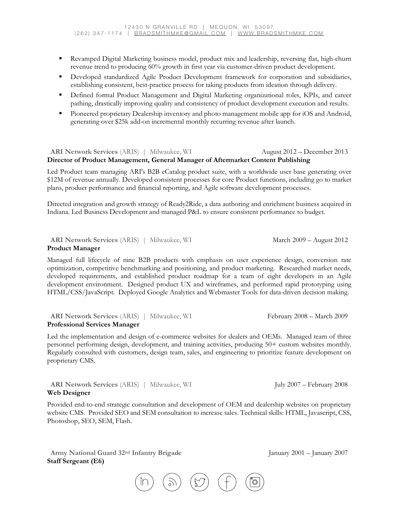- Revamped Digital Marketing business model, product mix and leadership, reversing flat, high-churn revenue trend to producing 60% growth in first year via customer-driven product development.
- **•** Developed standardized Agile Product Development framework for corporation and subsidiaries, establishing consistent, best-practice process for taking products from ideation through delivery.
- § Defined formal Product Management and Digital Marketing organizational roles, KPIs, and career pathing, drastically improving quality and consistency of product development execution and results.
- § Pioneered proprietary Dealership inventory and photo management mobile app for iOS and Android, generating over \$25k add-on incremental monthly recurring revenue after launch.

#### **ARI Network Services** (ARIS) | Milwaukee, WI August 2012 – December 2013 **Director of Product Management, General Manager of Aftermarket Content Publishing**

Led Product team managing ARI's B2B eCatalog product suite, with a worldwide user base generating over \$12M of revenue annually. Developed consistent processes for core Product functions, including go to market plans, product performance and financial reporting, and Agile software development processes.

Directed integration and growth strategy of Ready2Ride, a data authoring and enrichment business acquired in Indiana. Led Business Development and managed P&L to ensure consistent performance to budget.

**ARI Network Services** (ARIS) | Milwaukee, WI March 2009 – August 2012 **Product Manager**

Managed full lifecycle of nine B2B products with emphasis on user experience design, conversion rate optimization, competitive benchmarking and positioning, and product marketing. Researched market needs, developed requirements, and established product roadmap for a team of eight developers in an Agile development environment. Designed product UX and wireframes, and performed rapid prototyping using HTML/CSS/JavaScript. Deployed Google Analytics and Webmaster Tools for data-driven decision making.

**ARI Network Services** (ARIS) | Milwaukee, WI February 2008 – March 2009 **Professional Services Manager**

Led the implementation and design of e-commerce websites for dealers and OEMs. Managed team of three personnel performing design, development, and training activities, producing 50+ custom websites monthly. Regularly consulted with customers, design team, sales, and engineering to prioritize feature development on proprietary CMS.

**ARI Network Services** (ARIS) | Milwaukee, WI July 2007 – February 2008

#### **Web Designer**

Provided end-to-end strategic consultation and development of OEM and dealership websites on proprietary website CMS. Provided SEO and SEM consultation to increase sales. Technical skills: HTML, Javascript, CSS, Photoshop, SEO, SEM, Flash.

**Army National Guard 32nd Infantry Brigade** January 2001 – January 2007 **Staff Sergeant (E6)**